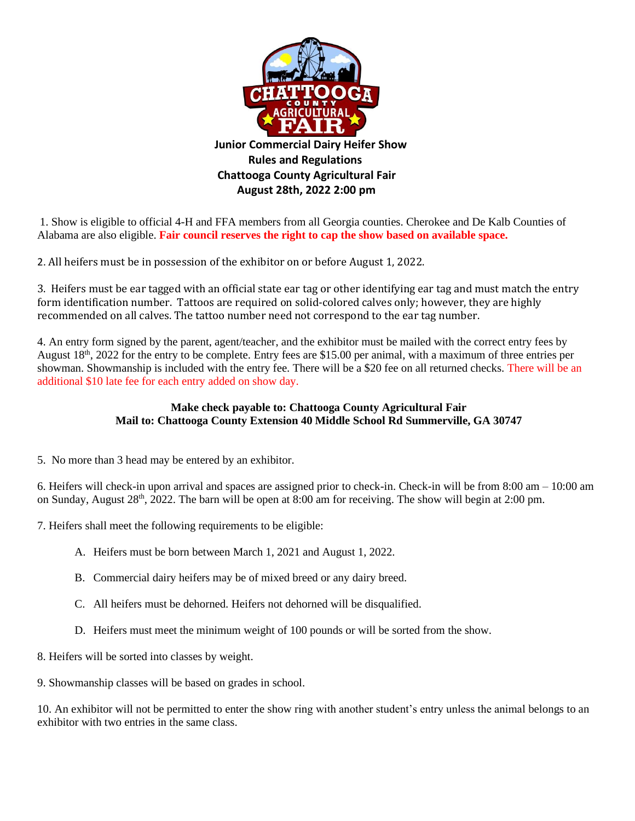

1. Show is eligible to official 4-H and FFA members from all Georgia counties. Cherokee and De Kalb Counties of Alabama are also eligible. **Fair council reserves the right to cap the show based on available space.** 

 **August 28th, 2022 2:00 pm**

2. All heifers must be in possession of the exhibitor on or before August 1, 2022.

3. Heifers must be ear tagged with an official state ear tag or other identifying ear tag and must match the entry form identification number. Tattoos are required on solid-colored calves only; however, they are highly recommended on all calves. The tattoo number need not correspond to the ear tag number.

4. An entry form signed by the parent, agent/teacher, and the exhibitor must be mailed with the correct entry fees by August 18<sup>th</sup>, 2022 for the entry to be complete. Entry fees are \$15.00 per animal, with a maximum of three entries per showman. Showmanship is included with the entry fee. There will be a \$20 fee on all returned checks. There will be an additional \$10 late fee for each entry added on show day.

# **Make check payable to: Chattooga County Agricultural Fair Mail to: Chattooga County Extension 40 Middle School Rd Summerville, GA 30747**

5. No more than 3 head may be entered by an exhibitor.

6. Heifers will check-in upon arrival and spaces are assigned prior to check-in. Check-in will be from 8:00 am – 10:00 am on Sunday, August 28<sup>th</sup>, 2022. The barn will be open at 8:00 am for receiving. The show will begin at 2:00 pm.

7. Heifers shall meet the following requirements to be eligible:

- A. Heifers must be born between March 1, 2021 and August 1, 2022.
- B. Commercial dairy heifers may be of mixed breed or any dairy breed.
- C. All heifers must be dehorned. Heifers not dehorned will be disqualified.
- D. Heifers must meet the minimum weight of 100 pounds or will be sorted from the show.
- 8. Heifers will be sorted into classes by weight.
- 9. Showmanship classes will be based on grades in school.

10. An exhibitor will not be permitted to enter the show ring with another student's entry unless the animal belongs to an exhibitor with two entries in the same class.